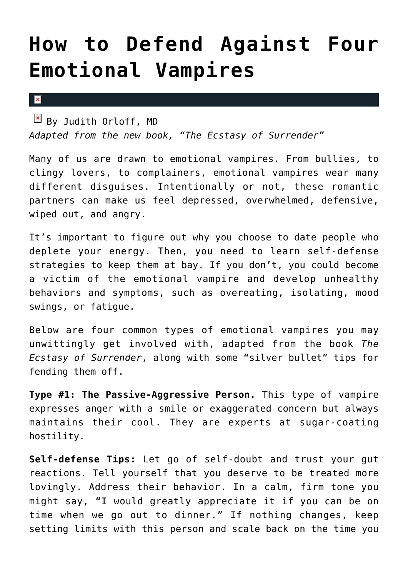## **[How to Defend Against Four](https://cupidspulse.com/81291/defend-emotional-vampires/) [Emotional Vampires](https://cupidspulse.com/81291/defend-emotional-vampires/)**

 $\mathbf x$ 

 $\frac{1}{2}$  By Judith Orloff, MD *Adapted from the new book, "The Ecstasy of Surrender"*

Many of us are drawn to emotional vampires. From bullies, to clingy lovers, to complainers, emotional vampires wear many different disguises. Intentionally or not, these romantic partners can make us feel depressed, overwhelmed, defensive, wiped out, and angry.

It's important to figure out why you choose to date people who deplete your energy. Then, you need to learn self-defense strategies to keep them at bay. If you don't, you could become a victim of the emotional vampire and develop unhealthy behaviors and symptoms, such as overeating, isolating, mood swings, or fatigue.

Below are four common types of emotional vampires you may unwittingly get involved with, adapted from the book *The Ecstasy of Surrender*, along with some "silver bullet" tips for fending them off.

**Type #1: The Passive-Aggressive Person.** This type of vampire expresses anger with a smile or exaggerated concern but always maintains their cool. They are experts at sugar-coating hostility.

**Self-defense Tips:** Let go of self-doubt and trust your gut reactions. Tell yourself that you deserve to be treated more lovingly. Address their behavior. In a calm, firm tone you might say, "I would greatly appreciate it if you can be on time when we go out to dinner." If nothing changes, keep setting limits with this person and scale back on the time you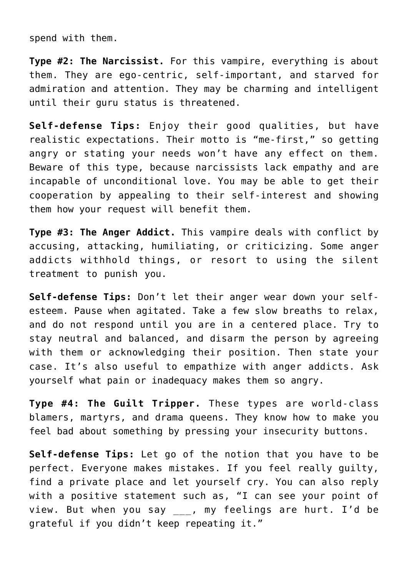spend with them.

**Type #2: The Narcissist.** For this vampire, everything is about them. They are ego-centric, self-important, and starved for admiration and attention. They may be charming and intelligent until their guru status is threatened.

**Self-defense Tips:** Enjoy their good qualities, but have realistic expectations. Their motto is "me-first," so getting angry or stating your needs won't have any effect on them. Beware of this type, because narcissists lack empathy and are incapable of unconditional love. You may be able to get their cooperation by appealing to their self-interest and showing them how your request will benefit them.

**Type #3: The Anger Addict.** This vampire deals with conflict by accusing, attacking, humiliating, or criticizing. Some anger addicts withhold things, or resort to using the silent treatment to punish you.

**Self-defense Tips:** Don't let their anger wear down your selfesteem. Pause when agitated. Take a few slow breaths to relax, and do not respond until you are in a centered place. Try to stay neutral and balanced, and disarm the person by agreeing with them or acknowledging their position. Then state your case. It's also useful to empathize with anger addicts. Ask yourself what pain or inadequacy makes them so angry.

**Type #4: The Guilt Tripper.** These types are world-class blamers, martyrs, and drama queens. They know how to make you feel bad about something by pressing your insecurity buttons.

**Self-defense Tips:** Let go of the notion that you have to be perfect. Everyone makes mistakes. If you feel really guilty, find a private place and let yourself cry. You can also reply with a positive statement such as, "I can see your point of view. But when you say \_\_\_, my feelings are hurt. I'd be grateful if you didn't keep repeating it."